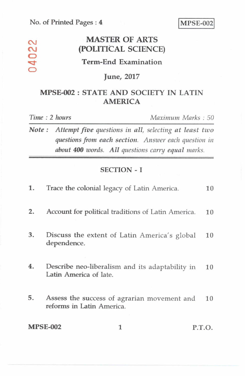## **MASTER OF ARTS (POLITICAL SCIENCE)**

## **Term-End Examination**

#### **June, 2017**

## **MPSE-002 : STATE AND SOCIETY IN LATIN AMERICA**

04022

*Time : 2 hours Maximum Marks : 50* 

*Note : Attempt five questions in all, selecting at least two questions from each section. Answer each question in about 400 words. All questions carry equal marks.* 

#### **SECTION - I**

| 1. | Trace the colonial legacy of Latin America.                               | 10 |
|----|---------------------------------------------------------------------------|----|
| 2. | Account for political traditions of Latin America.                        | 10 |
| 3. | Discuss the extent of Latin America's global<br>dependence.               | 10 |
| 4. | Describe neo-liberalism and its adaptability in<br>Latin America of late. | 10 |
| 5. | Assess the success of agrarian movement and<br>reforms in Latin America.  | 10 |

**MPSE-002 1 P.T.O.**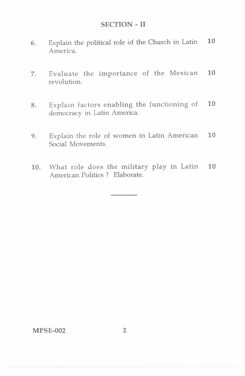#### SECTION-II

- 6. Explain the political role of the Church in Latin 10 America.
- 7. Evaluate the importance of the Mexican 10 revolution.
- 8. Explain factors enabling the functioning of 10 democracy in Latin America.
- 9. Explain the role of women in Latin American 10 Social Movements.
- 10. What role does the military play in Latin 10 American Politics ? Elaborate.

MPSE-002 2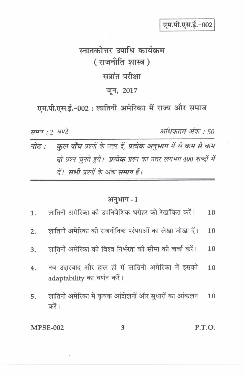एम.पी.एस.ई.-002

# स्नातकोत्तर उपाधि कार्यक्रम (राजनीति शास्त्र) सत्रांत परीक्षा जून, 2017

एम.पी.एस.ई.-002: लातिनी अमेरिका में राज्य और समाज

समय : २ घण्टे

अधिकतम अंक : 50

कुल पाँच प्रश्नों के उत्तर दें, प्रत्येक अनुभाग में से कम से कम नोट : दो प्रश्न चुनते हुये। प्रत्येक प्रश्न का उत्तर लगभग 400 शब्दों में दें। सभी प्रश्नों के अंक समान हैं।

### अनुभाग - I

|    | 1.      लातिनी अमेरिका को उपनिवेशिक धरोहर को रेखांकित करें।                        | <b>10</b> |
|----|------------------------------------------------------------------------------------|-----------|
| 2. | लातिनी अमेरिका की राजनीतिक परंपराओं का लेखा जोखा दें।                              | 10        |
| 3. | लातिनी अमेरिका की विश्व निर्भरता की सीमा की चर्चा करें।                            | 10        |
| 4. | नव उदारवाद और हाल ही में लातिनी अमेरिका में इसकी 10<br>adaptability का वर्णन करें। |           |
| 5. | लातिनी अमेरिका में कृषक आंदोलनों और सुधारों का आंकलन 10<br>करें।                   |           |
|    | <b>MPSE-002</b><br>3                                                               | P.T.O.    |